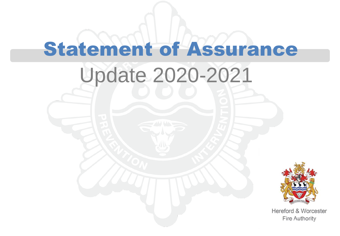# Update 2020-2021 Statement of Assurance



Hereford & Worcester **Fire Authority**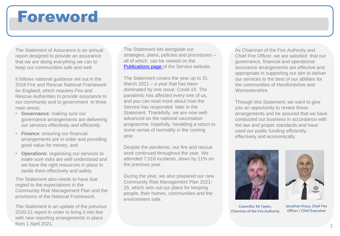### Foreword

The Statement of Assurance is an annual report designed to provide an assurance that we are doing everything we can to keep our communities safe and well.

It follows national guidance set out in the 2018 Fire and Rescue National Framework for England, which requires Fire and Rescue Authorities to provide assurance to our community and to government in three main areas:

- **Governance**: making sure our governance arrangements are delivering our services effectively and efficiently
- **Finance**: ensuring our financial arrangements are in order and providing good value for money, and
- **Operations**: organising our services to make sure risks are well understood and we have the right resources in place to tackle them effectively and safely.

The Statement also needs to have due regard to the expectations in the Community Risk Management Plan and the provisions of the National Framework.

The Statement is an update of the previous 2020-21 report in order to bring it into line with new reporting arrangements in place from 1 April 2021.

The Statement sits alongside our strategies, plans, policies and procedures – all of which can be viewed on the [Publications page o](about:blank)f the Service website.

The Statement covers the year up to 31 March 2021 – a year that has been dominated by one issue: Covid-19. The pandemic has affected every one of us, and you can read more about how the Service has responded later in the Statement. Thankfully, we are now welladvanced on the national vaccination programme; hopefully, heralding a return to some sense of normality in the coming year.

Despite the pandemic, our fire and rescue work continued throughout the year. We attended 7,016 incidents, down by 11% on the previous year.

During the year, we also prepared our new Community Risk Management Plan 2021- 25, which sets out our plans for keeping people, their homes, communities and the environment safe.

As Chairman of the Fire Authority and Chief Fire Officer, we are satisfied that our governance, financial and operational assurance arrangements are effective and appropriate in supporting our aim to deliver our services to the best of our abilities for the communities of Herefordshire and Worcestershire.

Through this Statement, we want to give you an opportunity to review these arrangements and be assured that we have conducted our business in accordance with the law and proper standards and have used our public funding efficiently, effectively and economically.



Councillor Kit Taylor, Chairman of the Fire Authority



Jonathon Pryce, Chief Fire Officer / Chief Executive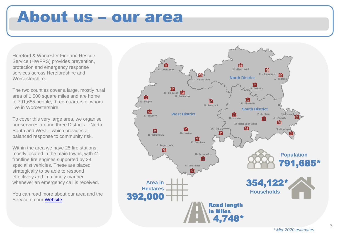### About us – our area

Hereford & Worcester Fire and Rescue Service (HWFRS) provides prevention, protection and emergency response services across Herefordshire and Worcestershire.

The two counties cover a large, mostly rural area of 1,500 square miles and are home to 791,685 people, three-quarters of whom live in Worcestershire.

To cover this very large area, we organise our services around three Districts – North, South and West – which provides a balanced response to community risk.

Within the area we have 25 fire stations, mostly located in the main towns, with 41 frontline fire engines supported by 28 specialist vehicles. These are placed strategically to be able to respond effectively and in a timely manner whenever an emergency call is received.

You can read more about our area and the Service on our [Website](about:blank)

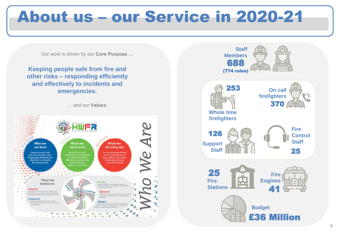## About us – our Service in 2020-21

Our work is driven by our **Core Purpose …**

**Keeping people safe from fire and other risks – responding efficiently and effectively to incidents and emergencies.**

… and our **Values**:



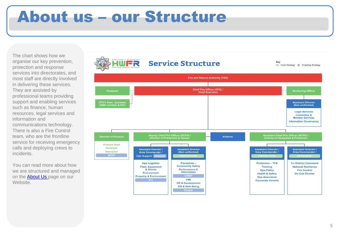### About us – our Structure

The chart shows how we organise our key prevention, protection and response services into directorates, and most staff are directly involved in delivering these services. They are assisted by professional teams providing support and enabling services such as finance, human resources, legal services and information and communications technology. There is also a Fire Control team, who are the frontline service for receiving emergency calls and deploying crews to incidents.

You can read more about how we are structured and managed on the **About Us** page on our Website.

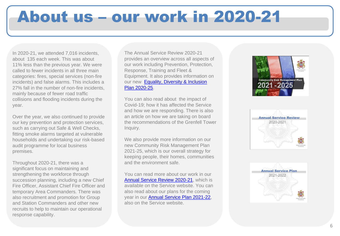# About us – our work in 2020-21

In 2020-21, we attended 7,016 incidents, about 135 each week. This was about 11% less than the previous year. We were called to fewer incidents in all three main categories: fires, special services (non-fire incidents) and false alarms. This includes a 27% fall in the number of non-fire incidents, mainly because of fewer road traffic collisions and flooding incidents during the year.

Over the year, we also continued to provide our key prevention and protection services, such as carrying out Safe & Well Checks, fitting smoke alarms targeted at vulnerable households and undertaking our risk-based audit programme for local business premises.

Throughout 2020-21, there was a significant focus on maintaining and strengthening the workforce through succession planning, including a new Chief Fire Officer, Assistant Chief Fire Officer and temporary Area Commanders. There was also recruitment and promotion for Group and Station Commanders and other new recruits to help to maintain our operational response capability.

The Annual Service Review 2020-21 provides an overview across all aspects of our work including Prevention, Protection, Response, Training and Fleet & Equipment. It also provides information on our new Equality, Diversity & Inclusion Plan 2020-25.

You can also read about the impact of Covid-19; how it has affected the Service and how we are responding. There is also an article on how we are taking on board the recommendations of the Grenfell Tower Inquiry.

We also provide more information on our new Community Risk Management Plan 2021-25, which is our overall strategy for keeping people, their homes, communities and the environment safe.

You can read more about our work in our [Annual Service Review 2020-21](https://www.hwfire.org.uk/assets/files/annual-service-review-2020-21-final-amended.pdf), which is available on the Service website. You can also read about our plans for the coming year in our [Annual Service Plan 2021-22](about:blank), also on the Service website.





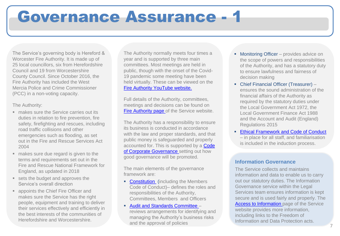### Governance Assurance - 1

The Service's governing body is Hereford & Worcester Fire Authority. It is made up of 25 local councillors, six from Herefordshire Council and 19 from Worcestershire County Council. Since October 2016, the Fire Authority has included the West Mercia Police and Crime Commissioner (PCC) in a non-voting capacity.

#### The Authority:

- makes sure the Service carries out its duties in relation to fire prevention, fire safety, firefighting and rescues, including road traffic collisions and other emergencies such as flooding, as set out in the Fire and Rescue Services Act 2004
- makes sure due regard is given to the terms and requirements set out in the Fire and Rescue National Framework for England, as updated in 2018
- sets the budget and approves the Service's overall direction
- appoints the Chief Fire Officer and makes sure the Service has the right people, equipment and training to deliver their services effectively and efficiently in the best interests of the communities of Herefordshire and Worcestershire.

The Authority normally meets four times a year and is supported by three main committees. Most meetings are held in public, though with the onset of the Covid-19 pandemic some meeting have been held virtually. These can be viewed on the [Fire Authority YouTube website.](about:blank)

Full details of the Authority, committees, meetings and decisions can be found on [Fire Authority page o](about:blank)f the Service website.

The Authority has a responsibility to ensure its business is conducted in accordance with the law and proper standards, and that public money is safeguarded and properly accounted for. This is supported by a Code of Corporate Governance setting out how good governance will be promoted.

The main elements of the governance framework are:

**• Constitution** (including the Members Code of Conduct)– defines the roles and responsibilities of the Authority, Committees, Members and Officers

#### ■ [Audit and Standards Committee](about:blank) –

reviews arrangements for identifying and managing the Authority's business risks and the approval of policies

- Monitoring Officer provides advice on the scope of powers and responsibilities of the Authority, and has a statutory duty to ensure lawfulness and fairness of decision making
- Chief Financial Officer (Treasurer) ensures the sound administration of the financial affairs of the Authority as required by the statutory duties under the Local Government Act 1972, the Local Government Finance Act 1988 and the Account and Audit (England) Regulations 2015
- **Ethical Framework and Code of Conduct** – in place for all staff, and familiarisation is included in the induction process.

#### **Information Governance**

The Service collects and maintains information and data to enable us to carry out our statutory duties. The Information Governance service within the Legal Services team ensures information is kept secure and is used fairly and properly. The [Access to Information p](about:blank)age of the Service website provides more information, including links to the Freedom of Information and Data Protection acts.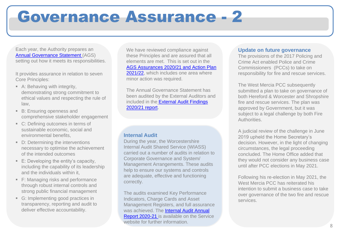### Governance Assurance - 2

Each year, the Authority prepares an [Annual Governance Statement \(](about:blank)AGS) setting out how it meets its responsibilities.

It provides assurance in relation to seven Core Principles:

- A: Behaving with integrity, demonstrating strong commitment to ethical values and respecting the rule of law,
- B: Ensuring openness and comprehensive stakeholder engagement
- C: Defining outcomes in terms of sustainable economic, social and environmental benefits,
- D: Determining the interventions necessary to optimise the achievement of the intended outcomes
- E: Developing the entity's capacity, including the capability of its leadership and the individuals within it,
- F: Managing risks and performance through robust internal controls and strong public financial management
- G: Implementing good practices in transparency, reporting and audit to deliver effective accountability.

We have reviewed compliance against these Principles and are assured that all elements are met. This is set out in the AGS Assurances 2020/21 and Action Plan [2021/22, which includes one area where](about:blank)  minor action was required.

The Annual Governance Statement has been audited by the External Auditors and included in the [External Audit Findings](about:blank) 2020/21 report.

#### **Internal Audit**

During the year, the Worcestershire Internal Audit Shared Service (WIASS) carried out a number of audits in relation to Corporate Governance and System/ Management Arrangements. These audits help to ensure our systems and controls are adequate, effective and functioning correctly.

The audits examined Key Performance Indicators, Charge Cards and Asset Management Registers, and full assurance was achieved. The Internal Audit Annual [Report 2020-21 is available on the Servic](about:blank)e website for further information.

#### **Update on future governance**

The provisions of the 2017 Policing and Crime Act enabled Police and Crime Commissioners (PCCs) to take on responsibility for fire and rescue services.

The West Mercia PCC subsequently submitted a plan to take on governance of both Hereford & Worcester and Shropshire fire and rescue services. The plan was approved by Government, but it was subject to a legal challenge by both Fire Authorities.

A judicial review of the challenge in June 2019 upheld the Home Secretary's decision. However, in the light of changing circumstances, the legal proceeding concluded. The Home Office added that they would not consider any business case until after PCC elections in May 2021.

Following his re-election in May 2021, the West Mercia PCC has reiterated his intention to submit a business case to take over governance of the two fire and rescue services.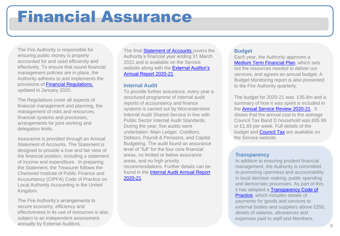### Financial Assurance

The Fire Authority is responsible for ensuring public money is properly accounted for and used efficiently and effectively. To ensure that sound financial management policies are in place, the Authority adheres to and implements the provisions of [Financial Regulations,](about:blank)  updated in January 2020.

The Regulations cover all aspects of financial management and planning, the management of risks and resources, financial systems and processes, arrangements for joint working and delegation limits.

Assurance is provided through an Annual Statement of Accounts. The Statement is designed to provide a true and fair view of the financial position, including a statement of income and expenditure. In preparing the Statement, the Treasurer follows the Chartered Institute of Public Finance and Accountancy (CIPFA) Code of Practice on Local Authority Accounting in the United Kingdom.

The Fire Authority's arrangements to secure economy, efficiency and effectiveness in its use of resources is also subject to an independent assessment annually by External Auditors.

The final **Statement of Accounts** covers the Authority's financial year ending 31 March 2021 and is available on the Service website along with the **External Auditor's** Annual Report 2020-21.

#### **Internal Audit**

To provide further assurance, every year a structured programme of internal audit reports of accountancy and finance systems is carried out by Worcestershire Internal Audit Shared Service in line with Public Sector Internal Audit Standards. During the year, five audits were undertaken: Main Ledger, Creditors, Debtors, Payroll & Pensions, and Capital Budgeting. The audit found an assurance level of "full" for the four core financial areas, no limited or below assurance areas, and no high priority recommendations. Further details can be [found in the Internal Audit Annual Report](about:blank) 2020-21.

#### **Budget**

Each year, the Authority approves a [Medium Term Financial Plan](about:blank), which sets out the resources needed to deliver our services, and agrees an annual budget. A Budget Monitoring report is also presented to the Fire Authority quarterly.

The budget for 2020-21 was £35.8m and a summary of how it was spent is included in the [Annual Service Review 2020-21](about:blank). It shows that the annual cost to the average Council Tax Band D household was £85.99 or £1.65 per week. Full details of the budget and **Council Tax** are available on the Service website.

#### **Transparency**

In addition to ensuring prudent financial management, the Authority is committed to promoting openness and accountability in local decision making, public spending and democratic processes. As part of this, it has adopted a Transparency Code of Practice, which includes details of payments for goods and services to external bodies and suppliers above £250, details of salaries, allowances and expenses paid to staff and Members.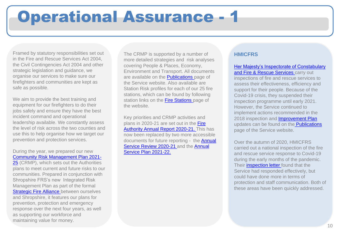### Operational Assurance - 1

Framed by statutory responsibilities set out in the Fire and Rescue Services Act 2004, the Civil Contingencies Act 2004 and other strategic legislation and guidance, we organise our services to make sure our firefighters and communities are kept as safe as possible.

We aim to provide the best training and equipment for our firefighters to do their jobs safely and ensure they have the best incident command and operational leadership available. We constantly assess the level of risk across the two counties and use this to help organise how we target our prevention and protection services.

During the year, we prepared our new [Community Risk Management Plan 2021-](about:blank) 25 (CRMP), which sets out the Authorities plans to meet current and future risks to our communities. Prepared in conjunction with Shropshire FRS's new Integrated Risk Management Plan as part of the formal **Strategic Fire Alliance** between ourselves and Shropshire, it features our plans for prevention, protection and emergency response over the next four years, as well

as supporting our workforce and maintaining value for money.

The CRMP is supported by a number of more detailed strategies and risk analyses covering People & Places, Economy, Environment and Transport. All documents are available on the **Publications** page of the Service website. Also available are Station Risk profiles for each of our 25 fire stations, which can be found by following station links on the [Fire Stations p](about:blank)age of the website.

Key priorities and CRMP activities and plans in 2020-21 are set out in the Fire [Authority Annual Report 2020-21. This](about:blank) has now been replaced by two more accessible documents for future reporting - the Annual Service Review 2020-21 and the Annual Service Plan 2021-22.

#### **HMICFRS**

#### [Her Majesty's Inspectorate of Constabulary](about:blank)  and Fire & Rescue Services carry out

inspections of fire and rescue services to assess their effectiveness, efficiency and support for their people. Because of the Covid-19 crisis, they suspended their inspection programme until early 2021. However, the Service continued to implement actions recommended in the 2018 inspection and [Improvement Plan](about:blank)  updates can be found on the [Publications](about:blank)  page of the Service website.

Over the autumn of 2020, HMICFRS carried out a national inspection of the fire and rescue service response to Covid-19 during the early months of the pandemic. Their [inspection letter](about:blank) found that the Service had responded effectively, but could have done more in terms of protection and staff communication. Both of these areas have been quickly addressed.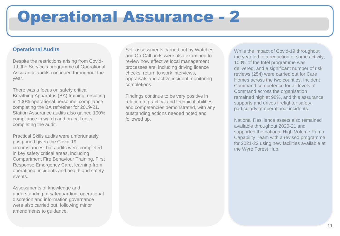## Operational Assurance - 2

#### **Operational Audits**

Despite the restrictions arising from Covid-19, the Service's programme of Operational Assurance audits continued throughout the year.

There was a focus on safety critical Breathing Apparatus (BA) training, resulting in 100% operational personnel compliance completing the BA refresher for 2019-21. Station Assurance audits also gained 100% compliance in watch and on-call units completing the audit.

Practical Skills audits were unfortunately postponed given the Covid-19 circumstances, but audits were completed in key safety critical areas, including Compartment Fire Behaviour Training, First Response Emergency Care, learning from operational incidents and health and safety events.

Assessments of knowledge and understanding of safeguarding, operational discretion and information governance were also carried out, following minor amendments to guidance.

Self-assessments carried out by Watches and On-Call units were also examined to review how effective local management processes are, including driving licence checks, return to work interviews, appraisals and active incident monitoring completions.

Findings continue to be very positive in relation to practical and technical abilities and competencies demonstrated, with any outstanding actions needed noted and followed up.

While the impact of Covid-19 throughout the year led to a reduction of some activity, 100% of the Intel programme was delivered, and a significant number of risk reviews (254) were carried out for Care Homes across the two counties. Incident Command competence for all levels of Command across the organisation remained high at 98%, and this assurance supports and drives firefighter safety, particularly at operational incidents.

National Resilience assets also remained available throughout 2020-21 and supported the national High Volume Pump Capability Team with a revised programme for 2021-22 using new facilities available at the Wyre Forest Hub.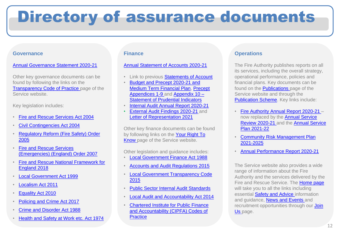# Directory of assurance documents

#### **Governance**

#### [Annual Governance Statement 2020-21](https://www.hwfire.org.uk/assets/files/annual-governance-statement-2020-21-final.pdf)

Other key governance documents can be found by following the links on the [Transparency Code of Practice p](about:blank)age of the Service website.

Key legislation includes:

- [Fire and Rescue Services Act 2004](about:blank)
- [Civil Contingencies Act 2004](about:blank)
- [Regulatory Reform \(Fire Safety\) Order](about:blank)  2005
- Fire and Rescue Services [\(Emergencies\) \(England\) Order 2007](about:blank)
- [Fire and Rescue National Framework for](about:blank)  England 2018
- [Local Government Act 1999](about:blank)
- [Localism Act 2011](about:blank)
- [Equality Act 2010](about:blank)
- [Policing and Crime Act 2017](about:blank)
- [Crime and Disorder Act 1988](about:blank)
- [Health and Safety at Work etc. Act 1974](about:blank)

#### **Finance**

#### [Annual Statement of Accounts 2020-21](about:blank)

- Link to previous [Statements of Account](about:blank)
- Budget and Precept 2020-21 and [Medium Term Financial Plan, Pre](about:blank)cept [Appendices 1-9 and Appendix 10 –](about:blank) [Statement of Prudential Indicators](about:blank)
- [Internal Audit Annual Report 2020-21](about:blank)
- **[External Audit Findings 2020-21](about:blank) [a](about:blank)nd** [Letter of Representation 2021](about:blank)

Other key finance documents can be found by following links on the Your Right To [Know page of the Service website.](about:blank)

Other legislation and guidance includes:

- [Local Government Finance Act 1988](about:blank)
- [Accounts and Audit Regulations 2015](about:blank)
- [Local Government Transparency Code](about:blank)  2015
- [Public Sector Internal Audit Standards](about:blank)
- [Local Audit and Accountability Act 2014](about:blank)
- Chartered Institute for Public Finance [and Accountability \(CIPFA\) Codes of](about:blank)  **Practice**

#### **Operations**

The Fire Authority publishes reports on all its services, including the overall strategy, operational performance, policies and financial plans. Key documents can be found on the **Publications** page of the Service website and through the [Publication Scheme.](about:blank) Key links include:

- [Fire Authority Annual Report 2020-21 –](about:blank) now replaced by the Annual Service [Review 2020-21 and the Annual Service](about:blank) Plan 2021-22
- **Community Risk Management Plan** 2021-2025
- [Annual Performance Report 2020-21](about:blank)

The Service website also provides a wide range of information about the Fire Authority and the services delivered by the Fire and Rescue Service. The [Home page](about:blank) will take you to all the links including essential [Safety and Advice](about:blank) information and guidance, [News and Events](about:blank) and recruitment opportunities through our **Join** Us page.